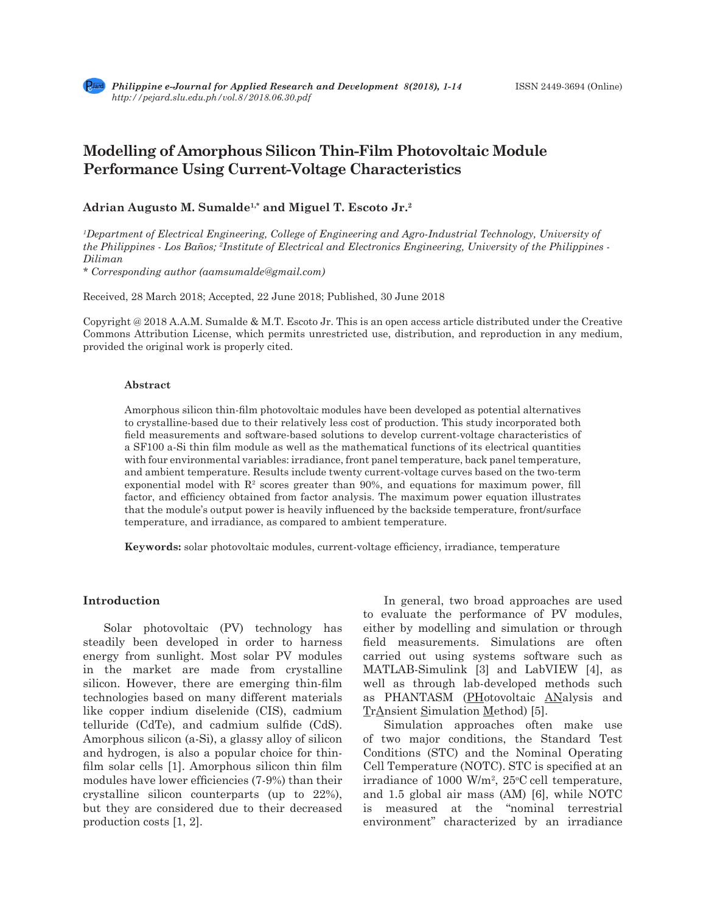# **Modelling of Amorphous Silicon Thin-Film Photovoltaic Module Performance Using Current-Voltage Characteristics**

# **Adrian Augusto M. Sumalde1,\* and Miguel T. Escoto Jr.2**

*1 Department of Electrical Engineering, College of Engineering and Agro-Industrial Technology, University of the Philippines - Los Baños; 2 Institute of Electrical and Electronics Engineering, University of the Philippines - Diliman* 

*\* Corresponding author (aamsumalde@gmail.com)*

Received, 28 March 2018; Accepted, 22 June 2018; Published, 30 June 2018

Copyright @ 2018 A.A.M. Sumalde & M.T. Escoto Jr. This is an open access article distributed under the Creative Commons Attribution License, which permits unrestricted use, distribution, and reproduction in any medium, provided the original work is properly cited.

#### **Abstract**

Amorphous silicon thin-film photovoltaic modules have been developed as potential alternatives to crystalline-based due to their relatively less cost of production. This study incorporated both field measurements and software-based solutions to develop current-voltage characteristics of a SF100 a-Si thin film module as well as the mathematical functions of its electrical quantities with four environmental variables: irradiance, front panel temperature, back panel temperature, and ambient temperature. Results include twenty current-voltage curves based on the two-term exponential model with  $\mathbb{R}^2$  scores greater than 90%, and equations for maximum power, fill factor, and efficiency obtained from factor analysis. The maximum power equation illustrates that the module's output power is heavily influenced by the backside temperature, front/surface temperature, and irradiance, as compared to ambient temperature.

**Keywords:** solar photovoltaic modules, current-voltage efficiency, irradiance, temperature

#### **Introduction**

Solar photovoltaic (PV) technology has steadily been developed in order to harness energy from sunlight. Most solar PV modules in the market are made from crystalline silicon. However, there are emerging thin-film technologies based on many different materials like copper indium diselenide (CIS), cadmium telluride (CdTe), and cadmium sulfide (CdS). Amorphous silicon (a-Si), a glassy alloy of silicon and hydrogen, is also a popular choice for thinfilm solar cells [1]. Amorphous silicon thin film modules have lower efficiencies (7-9%) than their crystalline silicon counterparts (up to 22%), but they are considered due to their decreased production costs [1, 2].

In general, two broad approaches are used to evaluate the performance of PV modules, either by modelling and simulation or through field measurements. Simulations are often carried out using systems software such as MATLAB-Simulink [3] and LabVIEW [4], as well as through lab-developed methods such as PHANTASM (PHotovoltaic ANalysis and TrAnsient Simulation Method) [5].

Simulation approaches often make use of two major conditions, the Standard Test Conditions (STC) and the Nominal Operating Cell Temperature (NOTC). STC is specified at an irradiance of 1000 W/m<sup>2</sup>,  $25^{\circ}$ C cell temperature, and 1.5 global air mass (AM) [6], while NOTC is measured at the "nominal terrestrial environment" characterized by an irradiance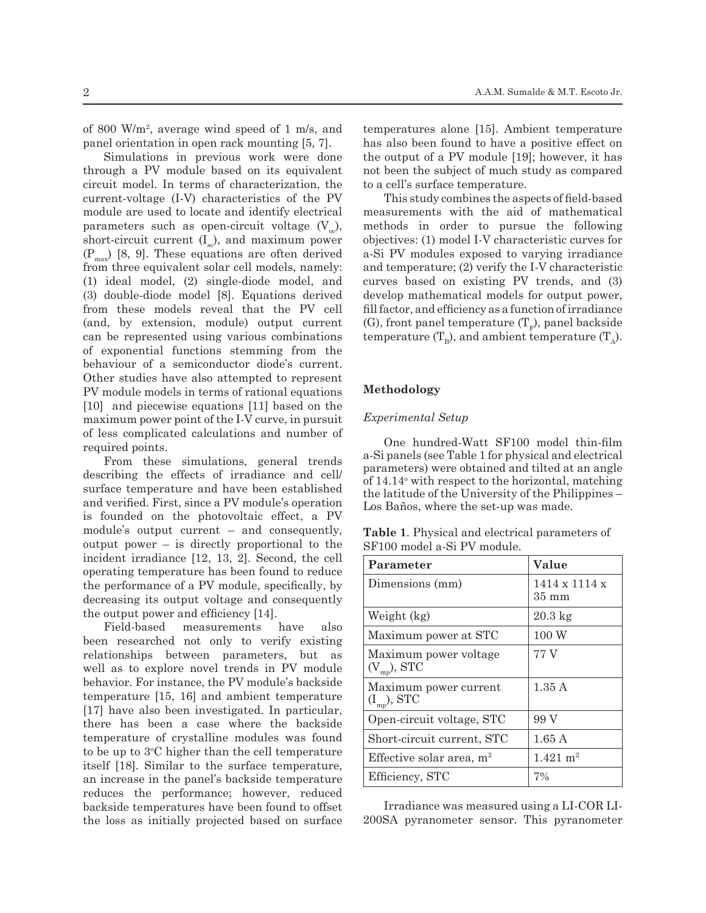of 800 W/m<sup>2</sup> , average wind speed of 1 m/s, and panel orientation in open rack mounting [5, 7].

Simulations in previous work were done through a PV module based on its equivalent circuit model. In terms of characterization, the current-voltage (I-V) characteristics of the PV module are used to locate and identify electrical parameters such as open-circuit voltage  $(V_{\alpha})$ , short-circuit current  $(I_{\infty})$ , and maximum power  $(P_{\text{max}})$  [8, 9]. These equations are often derived from three equivalent solar cell models, namely: (1) ideal model, (2) single-diode model, and (3) double-diode model [8]. Equations derived from these models reveal that the PV cell (and, by extension, module) output current can be represented using various combinations of exponential functions stemming from the behaviour of a semiconductor diode's current. Other studies have also attempted to represent PV module models in terms of rational equations [10] and piecewise equations [11] based on the maximum power point of the I-V curve, in pursuit of less complicated calculations and number of required points.

From these simulations, general trends describing the effects of irradiance and cell/ surface temperature and have been established and verified. First, since a PV module's operation is founded on the photovoltaic effect, a PV module's output current – and consequently, output power – is directly proportional to the incident irradiance [12, 13, 2]. Second, the cell operating temperature has been found to reduce the performance of a PV module, specifically, by decreasing its output voltage and consequently the output power and efficiency [14].

Field-based measurements have also been researched not only to verify existing relationships between parameters, but as well as to explore novel trends in PV module behavior. For instance, the PV module's backside temperature [15, 16] and ambient temperature [17] have also been investigated. In particular, there has been a case where the backside temperature of crystalline modules was found to be up to 3°C higher than the cell temperature itself [18]. Similar to the surface temperature, an increase in the panel's backside temperature reduces the performance; however, reduced backside temperatures have been found to offset the loss as initially projected based on surface

temperatures alone [15]. Ambient temperature has also been found to have a positive effect on the output of a PV module [19]; however, it has not been the subject of much study as compared to a cell's surface temperature.

This study combines the aspects of field-based measurements with the aid of mathematical methods in order to pursue the following objectives: (1) model I-V characteristic curves for a-Si PV modules exposed to varying irradiance and temperature; (2) verify the I-V characteristic curves based on existing PV trends, and (3) develop mathematical models for output power, fill factor, and efficiency as a function of irradiance (G), front panel temperature  $(T_F)$ , panel backside temperature  $(T_p)$ , and ambient temperature  $(T_A)$ .

#### **Methodology**

#### *Experimental Setup*

One hundred-Watt SF100 model thin-film a-Si panels (see Table 1 for physical and electrical parameters) were obtained and tilted at an angle of 14.14o with respect to the horizontal, matching the latitude of the University of the Philippines – Los Baños, where the set-up was made.

**Table 1**. Physical and electrical parameters of SF100 model a-Si PV module.

| Parameter                                 | Value                                        |
|-------------------------------------------|----------------------------------------------|
| Dimensions (mm)                           | $1414 \times 1114 \times$<br>$35 \text{ mm}$ |
| Weight (kg)                               | $20.3 \text{ kg}$                            |
| Maximum power at STC                      | 100W                                         |
| Maximum power voltage<br>$(V_{mp})$ , STC | 77 V                                         |
| Maximum power current<br>$(I_{mp}),$ STC  | 1.35A                                        |
| Open-circuit voltage, STC                 | 99 V                                         |
| Short-circuit current, STC                | 1.65A                                        |
| Effective solar area, $m2$                | $1.421 \text{ m}^2$                          |
| Efficiency, STC                           | 7%                                           |

Irradiance was measured using a LI-COR LI-200SA pyranometer sensor. This pyranometer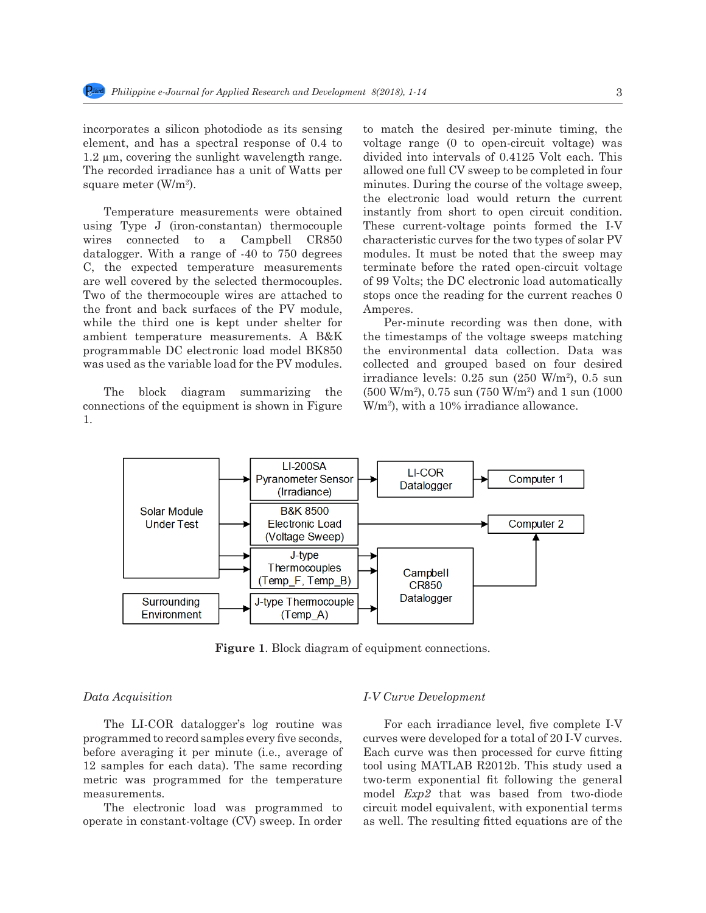Short-circuit current, STC 1.65 August 2.65 August 2.65 August 2.65 August 2.65 August 2.65 August 2.65 August

incorporates a silicon photodiode as its sensing element, and has a spectral response of 0.4 to 1.2 µm, covering the sunlight wavelength range. The recorded irradiance has a unit of Watts per square meter (W/m<sup>2</sup>).

Temperature measurements were obtained using Type J (iron-constantan) thermocouple These current-voltage points formed the I-V wires connected to a Campbell CR850 wres connected to a Campoell CR850<br>datalogger. With a range of -40 to 750 degrees C, the expected temperature measurements are well covered by the selected thermocouples. The SQ Volts; the DC electronic load automatically Two of the thermocouple wires are attached to the front and back surfaces of the PV module, the front and back surfaces of the 1 v module, Amperes.<br>while the third one is kept under shelter for Per-minute recording was then done, with ambient temperature measurements. A B&K the timestamps of the voltage sweeps matching programmable DC electronic load model BK850 the environmental data collection. Data was<br>weg used as the variable load for the PV modules and local and grouned based on four desired was used as the variable load for the PV modules. Two of the thermocouple wires are attached to stops once the reading for the current reaches  $0$ 

The block diagram summarizing the connections of the equipment is shown in Figure  $W/m^2$ , with a 10% irradiance allowance. 1.

photodiode as its sensing to match the desired per-minute timing, the tral response of  $0.4$  to voltage range (0 to open-circuit voltage) was divided into intervals of 0.4125 Volt each. This allowed one full CV sweep to be completed in four square meter (W/m<sup>2</sup>). This minutes. During the course of the voltage sweep, the electronic lead would not use the expression the electronic load would return the current Temperature measurements were obtained instantly from short to open circuit condition. These current-voltage points formed the I-V characteristic curves for the two types of solar PV modules. It must be noted that the sweep may terminate before the rated open-circuit voltage of 99 Volts; the DC electronic load automatically Amperes.

Per-minute recording was then done, with the timestamps of the voltage sweeps matching the environmental data collection. Data was collected and grouped based on four desired  $\frac{1}{25}$  irradiance levels: 0.25 sun (250 W/m<sup>2</sup>), 0.5 sun irradiance levels. (500 W/m<sup>2</sup> ), 0.75 sun (750 W/m<sup>2</sup> ) and 1 sun (1000 W/m<sup>2</sup>), with a 10% irradiance allowance.



88 **Figure 1**. Block diagram of equipment connections. **Figure 1**. Block diagram of equipment connections.

# 90 *Data Acquisition Data Acquisition*

The LI-COR datalogger's log routine was the each irradiance lever, live complete i-v<br>programmed to record samples every five seconds, curves were developed for a total of 20 I-V curves. before averaging it per minute (i.e., average of Each curve was then processed for curve fitting 12 samples for each data). The same recording tool using MATLAB R2 The LI-COR datalogger's log routine was programmed to record samples every five seconds, metric was programmed for the temperature measurements.

operate in constant-voltage (CV) sweep. In order as well. The resulting fitted equations are of the The electronic load was programmed to

### *I-V Curve Development*

 $\frac{m}{2}$  that was based from two-drode<br>The electronic load was programmed to circuit model equivalent, with exponential terms For each irradiance level, five complete I-V Each curve was then processed for curve fitting tool using MATLAB R2012b. This study used a two-term exponential fit following the general model *Exp2* that was based from two-diode as well. The resulting fitted equations are of the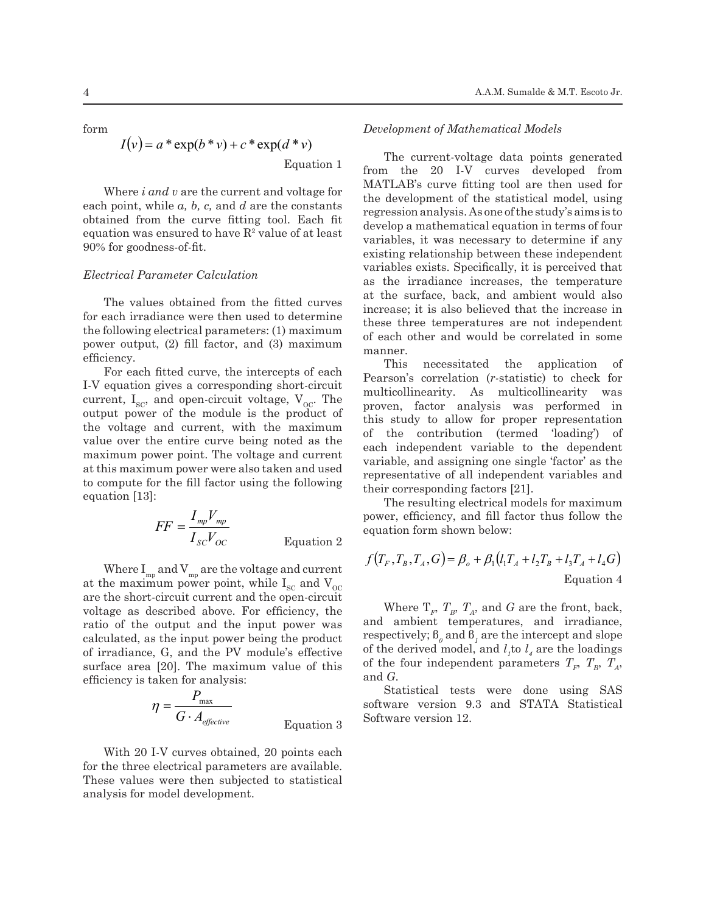form

$$
I(v) = a * \exp(b * v) + c * \exp(d * v)
$$

Equation 1

Where *i and v* are the current and voltage for where  $i$  and  $v$  are the current and voltage for the development of the results of the results of the results of the results of the results of the results of the results of the results of the results of the results of th obtained from the curve fitting tool. Each fit equation was ensured to have  $\mathbb{R}^2$  value of at least 90% for goodness-of-fit.

The values obtained from the fitted curves for each irradiance were then used to determine the following electrical parameters: (1) maximum power output, (2) fill factor, and (3) maximum<br>
efficiency.<br>
This pocositate efficiency.  $\frac{1}{2}$ 

For each fitted curve, the intercepts of each  $\frac{1 \text{ m}}{\text{Pearson's correlation}}$ I-V equation gives a corresponding short-circuit current,  $I_{SC}$ , and open-circuit voltage,  $V_{OC}$ . The output power of the module is the product of  $\frac{1}{2}$  this study to allow the voltage and current, with the maximum value over the entire curve being noted as the contribution value over the entire curve being noted as the problem independent res maximum power point. The voltage and current, we can independent value of the maximum value of the entire curve at this maximum power were also taken and used<br>representative of all i to compute for the fill factor using the following  $\frac{1}{2}$ equation [13]:

$$
FF = \frac{I_{mp}V_{mp}}{I_{SC}V_{OC}}
$$
 power, efficiency, and fill fe  
equation form shown below:

Where  $I_{mp}$  and  $V_{mp}$  are the voltage and current  $J(V_F, I_B, I_A, O) = \rho_o$ at the maximum power point, while  $I_{SC}$  and  $V_{OC}$ are the short-circuit current and the open-circuit  $\frac{1}{2}$  Where  $\frac{T}{T}$ voltage as described above. For efficiency, the maximum value of the output and the input power was and ambient tempe calculated, as the input power being the product Figure area [20]. The maximum value of this  $\frac{G}{G}$  and  $G$ .<br> **C** Statistical tests surface area [20]. The maximum value of this voltage as described above. For efficiency, the of irradiance, G, and the PV module's effective

$$
\eta = \frac{P_{\text{max}}}{G \cdot A_{\text{effective}}}
$$
 Equation 3

With 20 I-V curves obtained, 20 points each for the three electrical parameters are available. These values were then subjected to statistical analysis for model development.

#### *Development of Mathematical Models*

*Electrical Parameter Calculation* variables exists. Species *in* and *carriable* in the *imaginnes* in Equation 1 current-voltage data points generated from the 20 I-V curves developed from <sup>11</sup>  $\alpha$  constant from the curvation as the irradiance in  $\alpha$  is the surface hack The current-voltage data points generated the development of the statistical model, using regression analysis. As one of the study's aims is to develop a mathematical equation in terms of four variables, it was necessary to determine if any existing relationship between these independent variables exists. Specifically, it is perceived that as the irradiance increases, the temperature at the surface, back, and ambient would also increase; it is also believed that the increase in these three temperatures are not independent of each other and would be correlated in some manner.

> This necessitated the application of Pearson's correlation (*r-*statistic) to check for multicollinearity. As multicollinearity was proven, factor analysis was performed in this study to allow for proper representation of the contribution (termed 'loading') of each independent variable to the dependent variable, and assigning one single 'factor' as the representative of all independent variables and their corresponding factors [21].

> The resulting electrical models for maximum power, efficiency, and fill factor thus follow the

$$
f(T_F, T_B, T_A, G) = \beta_o + \beta_1 (l_1 T_A + l_2 T_B + l_3 T_A + l_4 G)
$$
  
Equation 4

Where  $T_F$ ,  $T_B$ ,  $T_A$ , and *G* are the front, back, and ambient temperatures, and irradiance,  $\text{respectively; } \text{\(\beta\)}_0 \text{ and } \text{\(\beta\)}_1 \text{ are the intercept and slope}$ of the derived model, and  $l_i$  to  $l_i$  are the loadings of the four independent parameters  $T_F$ ,  $T_B$ ,  $T_A$ , and *G*.

Statistical tests were done using SAS software version 9.3 and STATA Statistical Software version 12.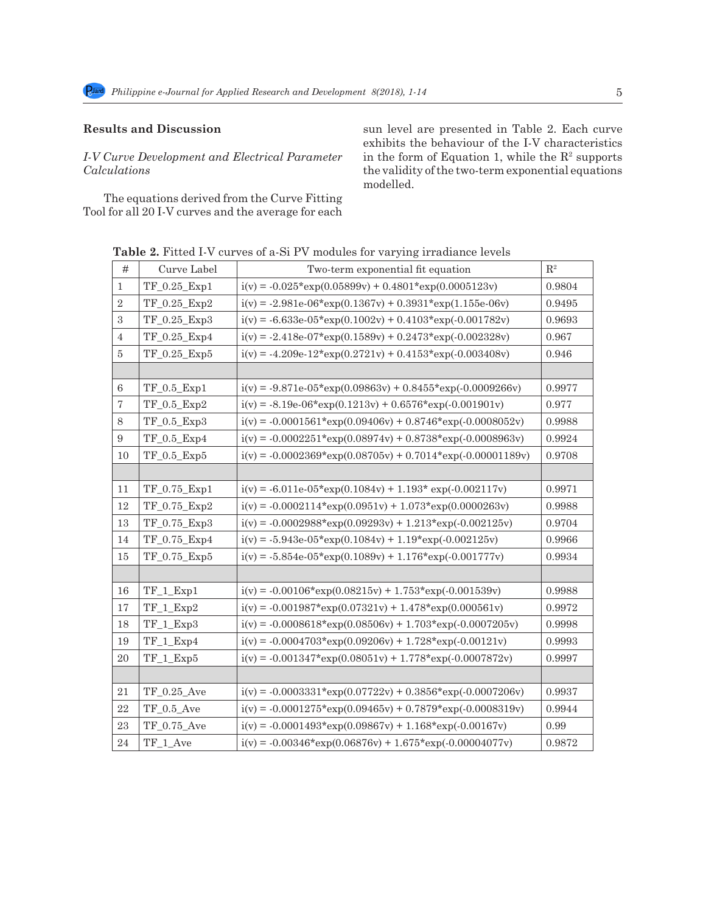# **Results and Discussion**

# *I-V Curve Development and Electrical Parameter Calculations*

The equations derived from the Curve Fitting Tool for all 20 I-V curves and the average for each sun level are presented in Table 2. Each curve exhibits the behaviour of the I-V characteristics in the form of Equation 1, while the  $\mathbb{R}^2$  supports the validity of the two-term exponential equations modelled.

| $\#$           | Curve Label       | Two-term exponential fit equation                             | $\mathbf{R}^2$ |
|----------------|-------------------|---------------------------------------------------------------|----------------|
| $\mathbf{1}$   | TF_0.25_Exp1      | $i(v) = -0.025*exp(0.05899v) + 0.4801*exp(0.0005123v)$        | 0.9804         |
| $\overline{2}$ | TF_0.25_Exp2      | $i(v) = -2.981e-06*exp(0.1367v) + 0.3931*exp(1.155e-06v)$     | 0.9495         |
| 3              | TF_0.25_Exp3      | $i(v) = -6.633e - 05*exp(0.1002v) + 0.4103*exp(-0.001782v)$   | 0.9693         |
| $\,4\,$        | TF 0.25 Exp4      | $i(v) = -2.418e-07*exp(0.1589v) + 0.2473*exp(-0.002328v)$     | 0.967          |
| $\bf 5$        | TF_0.25_Exp5      | $i(v) = -4.209e - 12*exp(0.2721v) + 0.4153*exp(-0.003408v)$   | 0.946          |
|                |                   |                                                               |                |
| 6              | $TF_0.5$ _ $Exp1$ | $i(v) = -9.871e - 05*exp(0.09863v) + 0.8455*exp(-0.0009266v)$ | 0.9977         |
| $\overline{7}$ | $TF_0.5$ _ $Exp2$ | $i(v) = -8.19e - 06*exp(0.1213v) + 0.6576*exp(-0.001901v)$    | 0.977          |
| 8              | TF_0.5_Exp3       | $i(v) = -0.0001561*exp(0.09406v) + 0.8746*exp(-0.0008052v)$   | 0.9988         |
| 9              | TF_0.5_Exp4       | $i(v) = -0.0002251*exp(0.08974v) + 0.8738*exp(-0.0008963v)$   | 0.9924         |
| 10             | TF_0.5_Exp5       | $i(v) = -0.0002369*exp(0.08705v) + 0.7014*exp(-0.00001189v)$  | 0.9708         |
|                |                   |                                                               |                |
| 11             | TF_0.75_Exp1      | $i(v) = -6.011e - 05*exp(0.1084v) + 1.193*exp(-0.002117v)$    | 0.9971         |
| 12             | TF_0.75_Exp2      | $i(v) = -0.0002114*exp(0.0951v) + 1.073*exp(0.0000263v)$      | 0.9988         |
| 13             | TF_0.75_Exp3      | $i(v) = -0.0002988*exp(0.09293v) + 1.213*exp(-0.002125v)$     | 0.9704         |
| 14             | TF_0.75_Exp4      | $i(v) = -5.943e-05*exp(0.1084v) + 1.19*exp(-0.002125v)$       | 0.9966         |
| 15             | TF_0.75_Exp5      | $i(v) = -5.854e - 05*exp(0.1089v) + 1.176*exp(-0.001777v)$    | 0.9934         |
|                |                   |                                                               |                |
| 16             | $TF_1$ $Exp1$     | $i(v) = -0.00106*exp(0.08215v) + 1.753*exp(-0.001539v)$       | 0.9988         |
| 17             | TF_1_Exp2         | $i(v) = -0.001987*exp(0.07321v) + 1.478*exp(0.000561v)$       | 0.9972         |
| 18             | TF_1_Exp3         | $i(v) = -0.0008618*exp(0.08506v) + 1.703*exp(-0.0007205v)$    | 0.9998         |
| 19             | TF_1_Exp4         | $i(v) = -0.0004703*exp(0.09206v) + 1.728*exp(-0.00121v)$      | 0.9993         |
| 20             | $TF_1$ $Exp5$     | $i(v) = -0.001347*exp(0.08051v) + 1.778*exp(-0.0007872v)$     | 0.9997         |
|                |                   |                                                               |                |
| 21             | TF 0.25 Ave       | $i(v) = -0.0003331*exp(0.07722v) + 0.3856*exp(-0.0007206v)$   | 0.9937         |
| 22             | $TF_0.5$ Ave      | $i(v) = -0.0001275*exp(0.09465v) + 0.7879*exp(-0.0008319v)$   | 0.9944         |
| 23             | TF 0.75 Ave       | $i(v) = -0.0001493*exp(0.09867v) + 1.168*exp(-0.00167v)$      | 0.99           |
| 24             | TF_1_Ave          | $i(v) = -0.00346*exp(0.06876v) + 1.675*exp(-0.00004077v)$     | 0.9872         |

 **Table 2.** Fitted I-V curves of a-Si PV modules for varying irradiance levels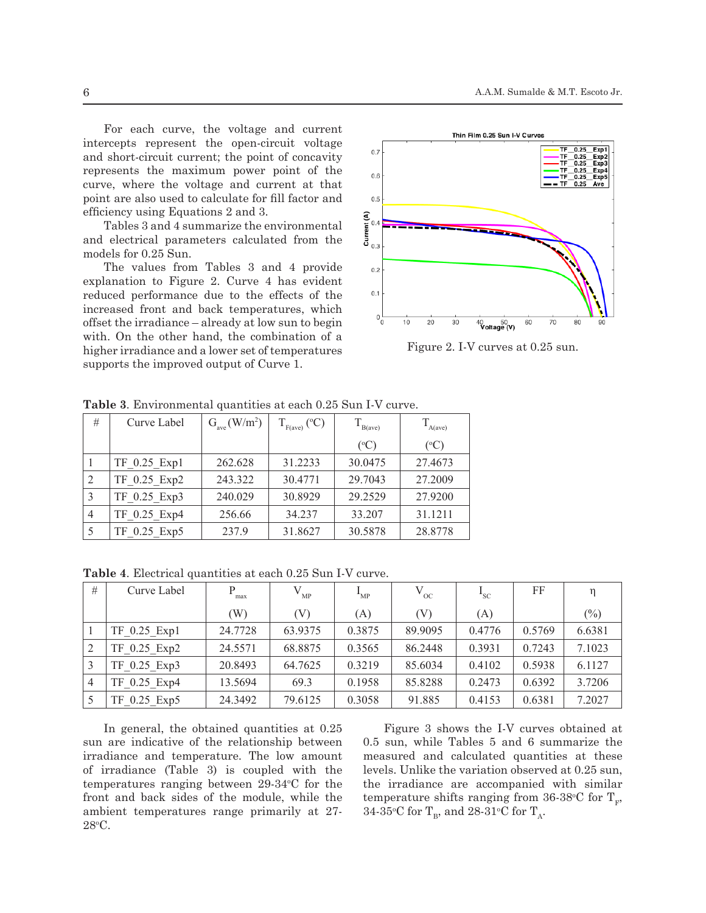For each curve, the voltage and current intercepts represent the open-circuit voltage and short-circuit current; the point of concavity represents the maximum power point of the curve, where the voltage and current at that point are also used to calculate for fill factor and efficiency using Equations 2 and 3.

Tables 3 and 4 summarize the environmental and electrical parameters calculated from the models for 0.25 Sun.

The values from Tables 3 and 4 provide explanation to Figure 2. Curve 4 has evident reduced performance due to the effects of the increased front and back temperatures, which % offset the irradiance – already at low sun to begin with. On the other hand, the combination of a higher irradiance and a lower set of temperatures supports the improved output of Curve 1.  $171$  Tables 3 and 4 summarize the environmental parameters calculated from electrical parameters calculated from  $\frac{1}{2}$ 



 $\frac{1}{2}$  Figure 2. I-V curves at 0.25 sun.

| # | Curve Label  | $G_{ave}$ (W/m <sup>2</sup> ) | $F_{\text{face}}$ (°C) | B(ave)          | A(ave)          |
|---|--------------|-------------------------------|------------------------|-----------------|-----------------|
|   |              |                               |                        | $({}^{\circ}C)$ | $({}^{\circ}C)$ |
|   | TF 0.25 Exp1 | 262.628                       | 31.2233                | 30.0475         | 27.4673         |
|   | TF 0.25 Exp2 | 243.322                       | 30.4771                | 29.7043         | 27.2009         |
|   | TF 0.25 Exp3 | 240.029                       | 30.8929                | 29.2529         | 27.9200         |
|   | TF 0.25 Exp4 | 256.66                        | 34.237                 | 33.207          | 31.1211         |
|   | TF 0.25 Exp5 | 237.9                         | 31.8627                | 30.5878         | 28.8778         |

173 **Table 3**. Environmental quantities at each 0.25 Sun I-V curve. **Table 3**. Environmental quantities at each 0.25 Sun I-V curve.

**Table 4**. Electrical quantities at each 0.25 Sun I-V curve.

| Table 4. Electrical quantities at each 0.25 Sun I-V curve. |              |         |          |                          |              |          |        |        |  |
|------------------------------------------------------------|--------------|---------|----------|--------------------------|--------------|----------|--------|--------|--|
| #                                                          | Curve Label  | max     | $V_{MP}$ | $\mathbf{L}_{\text{MP}}$ | $V_{\rm oc}$ | $I_{SC}$ | FF     | η      |  |
|                                                            |              | (W)     | (V)      | (A)                      | (V)          | (A)      |        | $(\%)$ |  |
|                                                            | TF 0.25 Exp1 | 24.7728 | 63.9375  | 0.3875                   | 89.9095      | 0.4776   | 0.5769 | 6.6381 |  |
|                                                            | TF 0.25 Exp2 | 24.5571 | 68.8875  | 0.3565                   | 86.2448      | 0.3931   | 0.7243 | 7.1023 |  |
|                                                            | TF 0.25 Exp3 | 20.8493 | 64.7625  | 0.3219                   | 85.6034      | 0.4102   | 0.5938 | 6.1127 |  |
| 4                                                          | TF 0.25 Exp4 | 13.5694 | 69.3     | 0.1958                   | 85.8288      | 0.2473   | 0.6392 | 3.7206 |  |
|                                                            | TF 0.25 Exp5 | 24.3492 | 79.6125  | 0.3058                   | 91.885       | 0.4153   | 0.6381 | 7.2027 |  |

In general, the obtained quantities at 0.25 sun are indicative of the relationship between irradiance and temperature. The low amount of irradiance (Table 3) is coupled with the temperatures ranging between  $29.34$ °C for the front and back sides of the module, while the ambient temperatures range primarily at 27- 28o C.

7 levels. Unlike the variation observed at 0.25 sun, Figure 3 shows the I-V curves obtained at 0.5 sun, while Tables 5 and 6 summarize the measured and calculated quantities at these the irradiance are accompanied with similar temperature shifts ranging from 36-38°C for  $T_F$ , 34-35°C for  $T_B$ , and 28-31°C for  $T_A$ .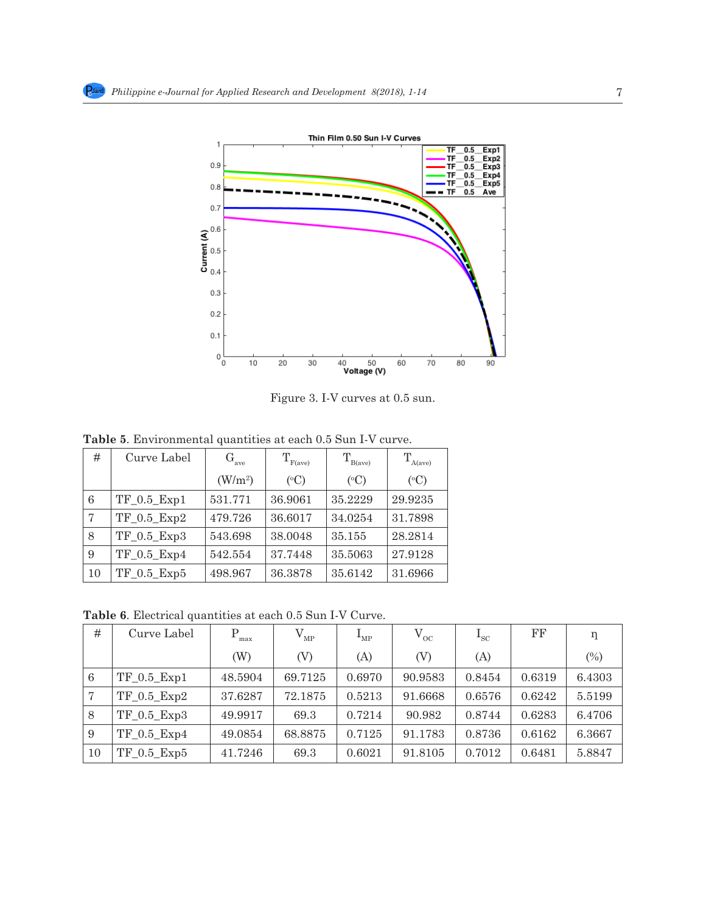

186 measured and calculated quantities at these levels. Unlike the variation observed at 0.25 sun, the

Figure 3. I-V curves at 0.5 sun.

| #  | Curve Label       | $G_{ave}$ | $\mathrm{T_{F(ave)}}$ | $T_{\rm B(ave)}$ | $\rm T_{A(ave)}$ |
|----|-------------------|-----------|-----------------------|------------------|------------------|
|    |                   | $(W/m^2)$ | $({}^{\circ}C)$       | $({}^{\circ}C)$  | $({}^{\circ}C)$  |
| 6  | $TF_0.5$ _ $Exp1$ | 531.771   | 36.9061               | 35.2229          | 29.9235          |
| 7  | $TF_0.5$ _ $Exp2$ | 479.726   | 36.6017               | 34.0254          | 31.7898          |
| 8  | $TF_0.5$ _ $Exp3$ | 543.698   | 38.0048               | 35.155           | 28.2814          |
| 9  | $TF_0.5$ _ $Exp4$ | 542.554   | 37.7448               | 35.5063          | 27.9128          |
| 10 | $TF_0.5$ _ $Exp5$ | 498.967   | 36.3878               | 35.6142          | 31.6966          |

**Table 5**. Environmental quantities at each 0.5 Sun I-V curve.

**Table 6**. Electrical quantities at each 0.5 Sun I-V Curve.

| #  | Curve Label     | max     | $\rm V_{\rm MP}$ | $\mathbf{L}_{\text{MP}}$ | $V_{\rm oc}$ | $\mathbf{1}_{\mathrm{SC}}$ | $_{\rm FF}$ | η      |
|----|-----------------|---------|------------------|--------------------------|--------------|----------------------------|-------------|--------|
|    |                 | (W)     | (V)              | (A)                      | (V)          | (A)                        |             | (%)    |
| 6  | $TF$ 0.5 $Exp1$ | 48.5904 | 69.7125          | 0.6970                   | 90.9583      | 0.8454                     | 0.6319      | 6.4303 |
| 7  | $TF$ 0.5 $Exp2$ | 37.6287 | 72.1875          | 0.5213                   | 91.6668      | 0.6576                     | 0.6242      | 5.5199 |
| 8  | $TF$ 0.5 $Exp3$ | 49.9917 | 69.3             | 0.7214                   | 90.982       | 0.8744                     | 0.6283      | 6.4706 |
| 9  | TF 0.5 Exp4     | 49.0854 | 68.8875          | 0.7125                   | 91.1783      | 0.8736                     | 0.6162      | 6.3667 |
| 10 | $TF_0.5$ $Exp5$ | 41.7246 | 69.3             | 0.6021                   | 91.8105      | 0.7012                     | 0.6481      | 5.8847 |

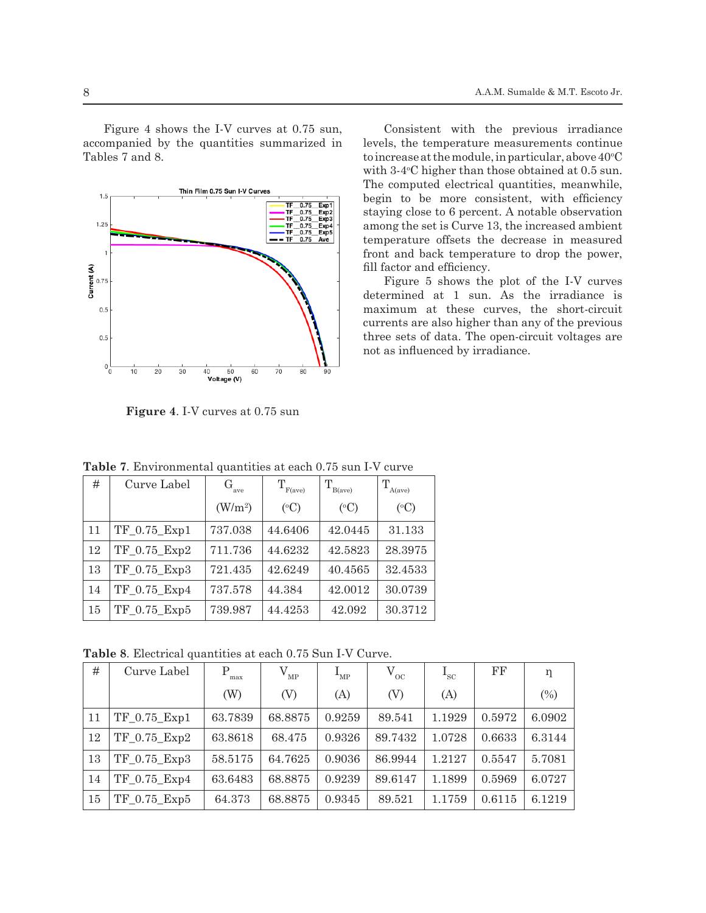Figure 4 shows the I-V curves at  $0.75$  sun, Con. accompanied by the quantities summarized in Tables 7 and 8. The I-V curves at 0.75 supply to increase at 0.75 supply to increase at 0.75 supply to increase at 0.75 summarized in  $\mathbb{R}^n$ 

 $\frac{1}{2}$  TF  $\frac{1}{2}$   $\frac{1}{2}$   $\frac{1}{2}$   $\frac{1}{2}$   $\frac{1}{2}$   $\frac{1}{2}$   $\frac{1}{2}$   $\frac{1}{2}$   $\frac{1}{2}$   $\frac{1}{2}$   $\frac{1}{2}$   $\frac{1}{2}$   $\frac{1}{2}$   $\frac{1}{2}$   $\frac{1}{2}$   $\frac{1}{2}$   $\frac{1}{2}$   $\frac{1}{2}$   $\frac{1}{2}$   $\frac{1}{2}$   $\frac{1}{2}$ 



200 **Figure 4**. I-V curves at 0.75 sun **Figure 4**. I-V curves at 0.75 sun

Consistent with the previous irradiance levels, the temperature measurements continue to increase at the module, in particular, above  $40^{\circ}$ C with 3-4°C higher than those obtained at 0.5 sun. The computed electrical quantities, meanwhile, begin to be more consistent, with efficiency staying close to 6 percent. A notable observation among the set is Curve 13, the increased ambient temperature offsets the decrease in measured front and back temperature to drop the power, fill factor and efficiency.

Figure 5 shows the plot of the I-V curves determined at 1 sun. As the irradiance is maximum at these curves, the short-circuit currents are also higher than any of the previous three sets of data. The open-circuit voltages are not as influenced by irradiance.

| #  | Curve Label        | $G_{ave}$           | $\mathrm{T_{F(ave)}}$ | $\mathrm{T_{B(ave)}}$ | A(ave)          |
|----|--------------------|---------------------|-----------------------|-----------------------|-----------------|
|    |                    | (W/m <sup>2</sup> ) | $({}^{\circ}C)$       | $({}^{\circ}C)$       | $({}^{\circ}C)$ |
| 11 | TF 0.75 Exp1       | 737.038             | 44.6406               | 42.0445               | 31.133          |
| 12 | TF 0.75 Exp2       | 711.736             | 44.6232               | 42.5823               | 28.3975         |
| 13 | TF 0.75 Exp3       | 721.435             | 42.6249               | 40.4565               | 32.4533         |
| 14 | TF 0.75 Exp4       | 737.578             | 44.384                | 42.0012               | 30.0739         |
| 15 | $TF_0.75$ _ $Exp5$ | 739.987             | 44.4253               | 42.092                | 30.3712         |
|    |                    |                     |                       |                       |                 |

Table 7. Environmental quantities at each 0.75 sun I-V curve

**Table 8**. Electrical quantities at each 0.75 Sun I-V Curve.

| #  | Curve Label  | P<br>max | $\rm V_{\rm MP}$ | $\rm I_{\rm MP}$ | $V_{\rm oc}$ | $I_{\rm sc}$ | FF     | η      |
|----|--------------|----------|------------------|------------------|--------------|--------------|--------|--------|
|    |              | (W)      | (V)              | (A)              | (V)          | (A)          |        | (%)    |
| 11 | TF 0.75 Exp1 | 63.7839  | 68.8875          | 0.9259           | 89.541       | 1.1929       | 0.5972 | 6.0902 |
| 12 | TF 0.75 Exp2 | 63.8618  | 68.475           | 0.9326           | 89.7432      | 1.0728       | 0.6633 | 6.3144 |
| 13 | TF 0.75 Exp3 | 58.5175  | 64.7625          | 0.9036           | 86.9944      | 1.2127       | 0.5547 | 5.7081 |
| 14 | TF 0.75 Exp4 | 63.6483  | 68.8875          | 0.9239           | 89.6147      | 1.1899       | 0.5969 | 6.0727 |
| 15 | TF 0.75 Exp5 | 64.373   | 68.8875          | 0.9345           | 89.521       | 1.1759       | 0.6115 | 6.1219 |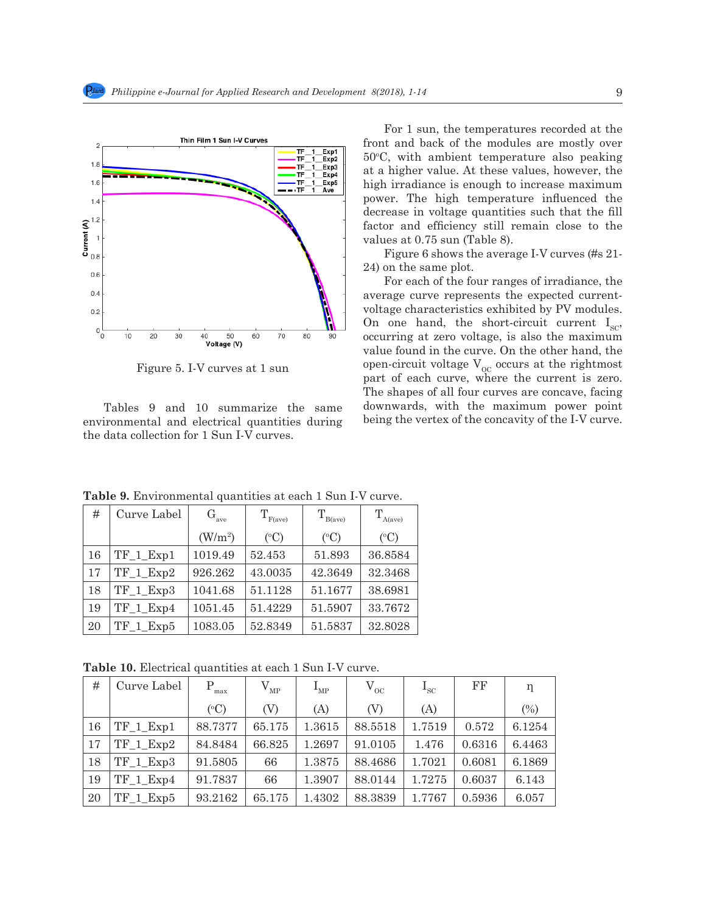

215 Figure 5. I-V curves at 1 sun Figure 5. I-V curves at 1 sun

 $\overline{r}$  and  $\overline{r}$  and  $\overline{r}$  curves. Tables 9 and 10 summarize the same environmental and electrical quantities during the data collection for 1 Sun I-V curves.

For 1 sun, the temperatures recorded at the front and back of the modules are mostly over 50<sup>o</sup> C, with ambient temperature also peaking at a higher value. At these values, however, the high irradiance is enough to increase maximum power. The high temperature influenced the decrease in voltage quantities such that the fill factor and efficiency still remain close to the values at 0.75 sun (Table 8).

Figure 6 shows the average I-V curves (#s 21- 24) on the same plot.

 $\frac{1}{2}$  Tables 9 and 10 summarize the same environmental  $\frac{1}{2}$ For each of the four ranges of irradiance, the average curve represents the expected currentvoltage characteristics exhibited by PV modules. On one hand, the short-circuit current  $I_{SC}$ , occurring at zero voltage, is also the maximum value found in the curve. On the other hand, the open-circuit voltage $\mathbf{V}_{\text{oc}}$  occurs at the rightmost part of each curve, where the current is zero. The shapes of all four curves are concave, facing downwards, with the maximum power point being the vertex of the concavity of the I-V curve.

| #  | Curve Label   | $G_{ave}$ | $T_{F(\text{ave})}$ | $T_{B(ave)}$    | $T_{A(ave)}$    |  |
|----|---------------|-----------|---------------------|-----------------|-----------------|--|
|    |               | $(W/m^2)$ | $({}^{\circ}C)$     | $({}^{\circ}C)$ | $({}^{\circ}C)$ |  |
| 16 | TF_1_Exp1     | 1019.49   | 52.453              | 51.893          | 36.8584         |  |
| 17 | TF_1_Exp2     | 926.262   | 43.0035             | 42.3649         | 32.3468         |  |
| 18 | $TF_1$ $Exp3$ | 1041.68   | 51.1128             | 51.1677         | 38.6981         |  |
| 19 | TF 1 Exp4     | 1051.45   | 51.4229             | 51.5907         | 33.7672         |  |
| 20 | $TF_1$ $Exp5$ | 1083.05   | 52.8349             | 51.5837         | 32.8028         |  |

**Table 9.** Environmental quantities at each 1 Sun I-V curve.

**Table 10.** Electrical quantities at each 1 Sun I-V curve.

| #  | Curve Label   | P<br>max        | $V_{MP}$ | $\rm I_{\rm MP}$ | $V_{\rm oc}$ | $\rm I_{\rm sc}$ | $_{\rm FF}$ | η      |
|----|---------------|-----------------|----------|------------------|--------------|------------------|-------------|--------|
|    |               | $({}^{\circ}C)$ | (V)      | (A)              | (V)          | (A)              |             | (%)    |
| 16 | $TF_1$ $Exp1$ | 88.7377         | 65.175   | 1.3615           | 88.5518      | 1.7519           | 0.572       | 6.1254 |
| 17 | $TF_1$ $Exp2$ | 84.8484         | 66.825   | 1.2697           | 91.0105      | 1.476            | 0.6316      | 6.4463 |
| 18 | $TF_1$ $Exp3$ | 91.5805         | 66       | 1.3875           | 88.4686      | 1.7021           | 0.6081      | 6.1869 |
| 19 | TF 1 Exp4     | 91.7837         | 66       | 1.3907           | 88.0144      | 1.7275           | 0.6037      | 6.143  |
| 20 | TF 1 Exp5     | 93.2162         | 65.175   | 1.4302           | 88.3839      | 1.7767           | 0.5936      | 6.057  |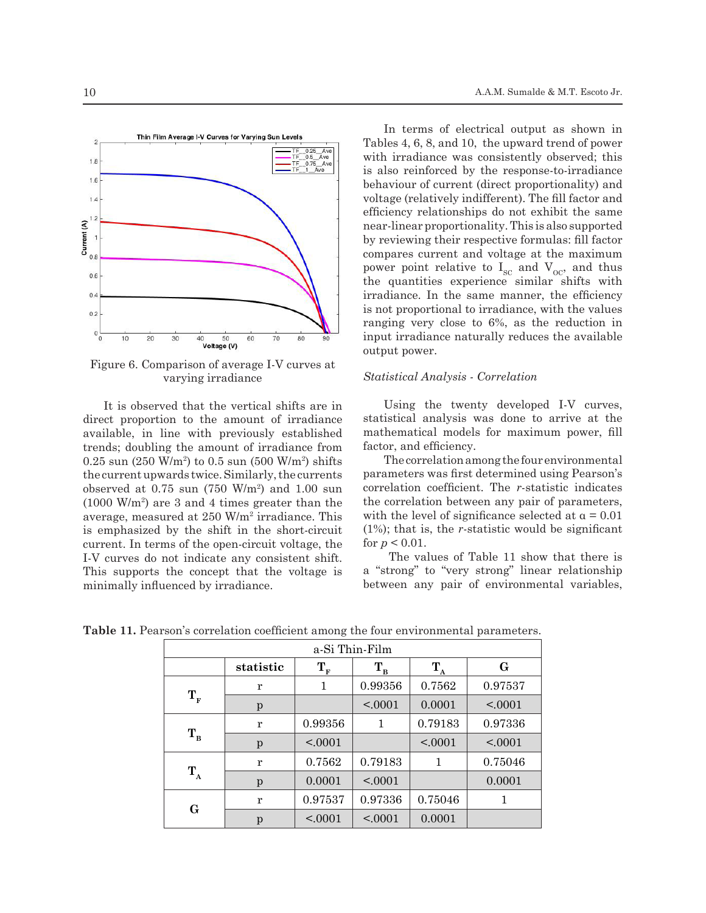

Figure 6. Comparison of average I-V curves at varying irradiance

It is observed that the vertical shifts are in direct proportion to the amount of irradiance available, in line with previously established trends; doubling the amount of irradiance from  $0.25$  sun  $(250 \text{ W/m}^2)$  to  $0.5$  sun  $(500 \text{ W/m}^2)$  shifts the current upwards twice. Similarly, the currents observed at  $0.75$  sun  $(750 \text{ W/m}^2)$  and  $1.00$  sun (1000 W/m<sup>2</sup> ) are 3 and 4 times greater than the average, measured at 250 W/m<sup>2</sup> irradiance. This is emphasized by the shift in the short-circuit current. In terms of the open-circuit voltage, the I-V curves do not indicate any consistent shift. This supports the concept that the voltage is minimally influenced by irradiance.

In terms of electrical output as shown in Tables 4, 6, 8, and 10, the upward trend of power with irradiance was consistently observed; this is also reinforced by the response-to-irradiance behaviour of current (direct proportionality) and voltage (relatively indifferent). The fill factor and efficiency relationships do not exhibit the same near-linear proportionality. This is also supported by reviewing their respective formulas: fill factor compares current and voltage at the maximum power point relative to  $I_{SC}$  and  $V_{OC}$ , and thus the quantities experience similar shifts with irradiance. In the same manner, the efficiency is not proportional to irradiance, with the values ranging very close to 6%, as the reduction in input irradiance naturally reduces the available output power.

#### *Statistical Analysis - Correlation*

Using the twenty developed I-V curves, statistical analysis was done to arrive at the mathematical models for maximum power, fill factor, and efficiency.

The correlation among the four environmental parameters was first determined using Pearson's correlation coefficient. The *r*-statistic indicates the correlation between any pair of parameters, with the level of significance selected at  $\alpha = 0.01$ (1%); that is, the *r*-statistic would be significant for  $p < 0.01$ .

 The values of Table 11 show that there is a "strong" to "very strong" linear relationship between any pair of environmental variables,

|                      | a Si Thin Film |                      |          |          |         |  |  |  |  |  |
|----------------------|----------------|----------------------|----------|----------|---------|--|--|--|--|--|
|                      | statistic      | $\mathbf{T}_{\rm F}$ | $T_B$    | $T_A$    | G       |  |  |  |  |  |
| $\mathbf{T}_{\rm F}$ | r              | 1                    | 0.99356  | 0.7562   | 0.97537 |  |  |  |  |  |
|                      | p              |                      | < .0001  | 0.0001   | < .0001 |  |  |  |  |  |
|                      | r              | 0.99356              | 1        | 0.79183  | 0.97336 |  |  |  |  |  |
| $T_{B}$              | p              | < 0.0001             |          | < 0.0001 | < 0.001 |  |  |  |  |  |
|                      | r              | 0.7562               | 0.79183  | 1        | 0.75046 |  |  |  |  |  |
| $T_A$                | p              | 0.0001               | < .0001  |          | 0.0001  |  |  |  |  |  |
|                      | r              | 0.97537              | 0.97336  | 0.75046  | 1       |  |  |  |  |  |
| G                    | p              | < 0.0001             | < 0.0001 | 0.0001   |         |  |  |  |  |  |

**Table 11.** Pearson's correlation coefficient among the four environmental parameters.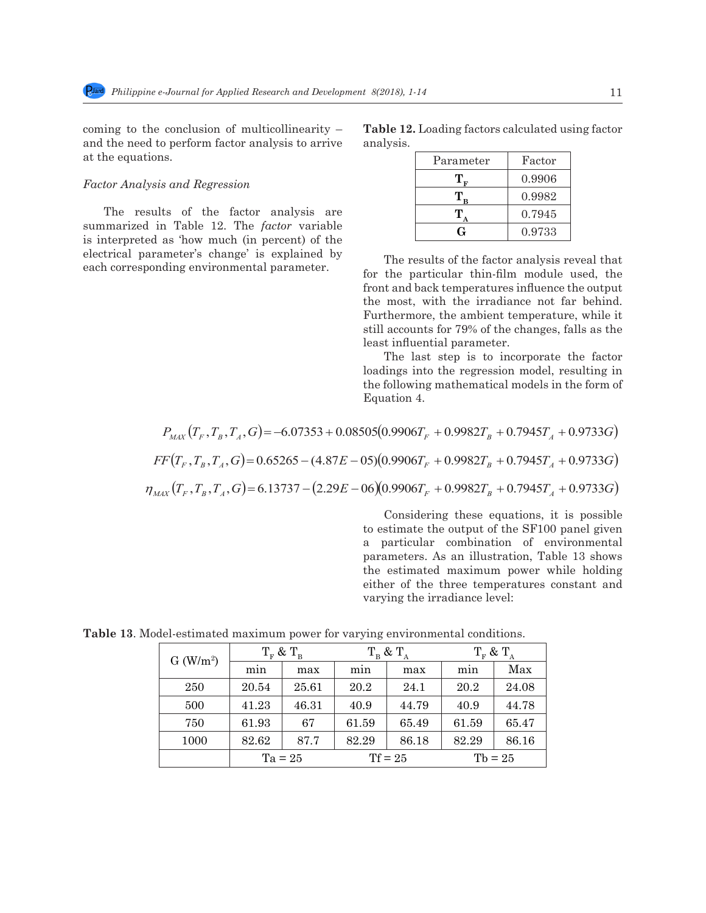coming to the conclusion of multicollinearity – and the need to perform factor analysis to arrive at the equations.

#### *Factor Analysis and Regression*

The results of the factor analysis are summarized in Table 12. The *factor* variable is interpreted as 'how much (in percent) of the electrical parameter's change' is explained by each corresponding environmental parameter.

| <b>Table 12.</b> Loading factors calculated using factor |  |  |  |
|----------------------------------------------------------|--|--|--|
| analysis.                                                |  |  |  |

| Parameter | Factor |
|-----------|--------|
|           | 0.9906 |
|           | 0.9982 |
|           | 0.7945 |
|           | 0.9733 |

The results of the factor analysis reveal that for the particular thin-film module used, the front and back temperatures influence the output the most, with the irradiance not far behind. Furthermore, the ambient temperature, while it still accounts for 79% of the changes, falls as the least influential parameter.

The last step is to incorporate the factor loadings into the regression model, resulting in the following mathematical models in the form of Equation 4.  $2777$  mathematical models in the following mathematical models in the form of Equation 4.

$$
P_{MAX}(T_F, T_B, T_A, G) = -6.07353 + 0.08505(0.9906T_F + 0.9982T_B + 0.7945T_A + 0.9733G)
$$
  
\n
$$
FF(T_F, T_B, T_A, G) = 0.65265 - (4.87E - 05)(0.9906T_F + 0.9982T_B + 0.7945T_A + 0.9733G)
$$
  
\n
$$
\eta_{MAX}(T_F, T_B, T_A, G) = 6.13737 - (2.29E - 06)(0.9906T_F + 0.9982T_B + 0.7945T_A + 0.9733G)
$$

Considering these equations, it is possible to estimate the output of the SF100 panel given  $\frac{a}{2}$  parameters. As an illustration, Table 13 shows varying the irradiance level: a particular combination of environmental the estimated maximum power while holding either of the three temperatures constant and

Table 13. Model-estimated maximum power for varying environmental conditions.

|                       | $T_{\rm F}$ & $T_{\rm B}$ |       | $T_{\rm B}$ & $T_{\rm A}$ |       | $T_{\rm m}$ & $T_{\rm A}$ |       |
|-----------------------|---------------------------|-------|---------------------------|-------|---------------------------|-------|
| G (W/m <sup>2</sup> ) | mın                       | max   | mın                       | max   | mın                       | Max   |
| 250                   | 20.54                     | 25.61 | 20.2                      | 24.1  | 20.2                      | 24.08 |
| 500                   | 41.23                     | 46.31 | 40.9                      | 44.79 | 40.9                      | 44.78 |
| 750                   | 61.93                     | 67    | 61.59                     | 65.49 | 61.59                     | 65.47 |
| 1000                  | 82.62                     | 87.7  | 82.29                     | 86.18 | 82.29                     | 86.16 |
|                       | $Ta = 25$                 |       | $Tf = 25$                 |       | $Tb = 25$                 |       |

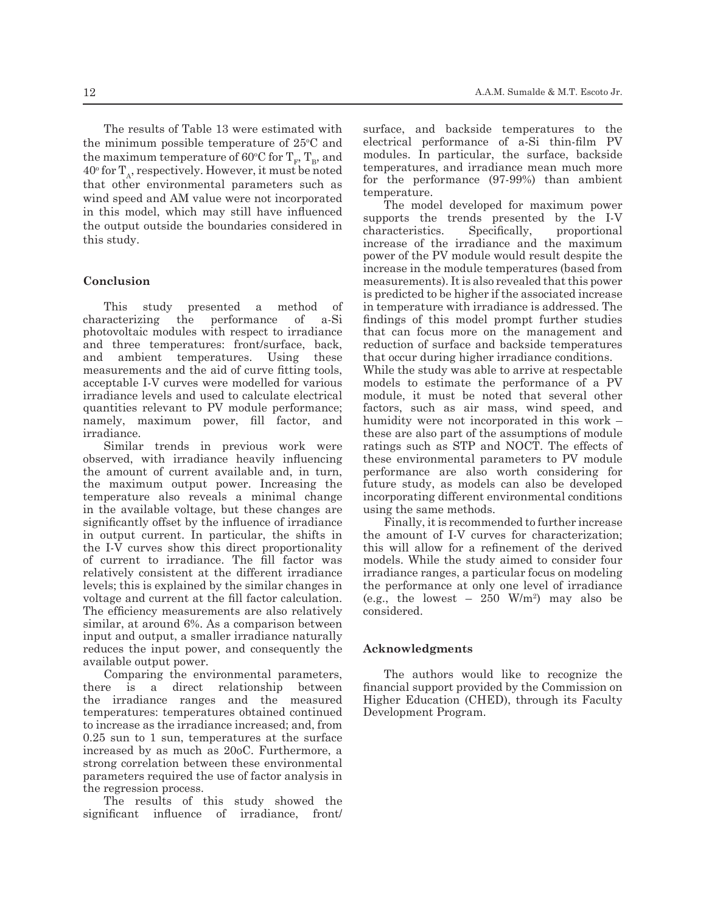The results of Table 13 were estimated with the minimum possible temperature of  $25^{\circ}$ C and the maximum temperature of 60°C for  $T_F$ ,  $T_B$ , and  $40^{\circ}$  for  $T_A$ , respectively. However, it must be noted that other environmental parameters such as wind speed and AM value were not incorporated in this model, which may still have influenced the output outside the boundaries considered in this study.

### **Conclusion**

This study presented a method of characterizing the performance of a-Si photovoltaic modules with respect to irradiance and three temperatures: front/surface, back, and ambient temperatures. Using these measurements and the aid of curve fitting tools, acceptable I-V curves were modelled for various irradiance levels and used to calculate electrical quantities relevant to PV module performance; namely, maximum power, fill factor, and irradiance.

Similar trends in previous work were observed, with irradiance heavily influencing the amount of current available and, in turn, the maximum output power. Increasing the temperature also reveals a minimal change in the available voltage, but these changes are significantly offset by the influence of irradiance in output current. In particular, the shifts in the I-V curves show this direct proportionality of current to irradiance. The fill factor was relatively consistent at the different irradiance levels; this is explained by the similar changes in voltage and current at the fill factor calculation. The efficiency measurements are also relatively similar, at around 6%. As a comparison between input and output, a smaller irradiance naturally reduces the input power, and consequently the available output power.

Comparing the environmental parameters, there is a direct relationship between the irradiance ranges and the measured temperatures: temperatures obtained continued to increase as the irradiance increased; and, from 0.25 sun to 1 sun, temperatures at the surface increased by as much as 20oC. Furthermore, a strong correlation between these environmental parameters required the use of factor analysis in the regression process.

The results of this study showed the significant influence of irradiance, front/ surface, and backside temperatures to the electrical performance of a-Si thin-film PV modules. In particular, the surface, backside temperatures, and irradiance mean much more for the performance (97-99%) than ambient temperature.

The model developed for maximum power supports the trends presented by the I-V characteristics. Specifically, proportional increase of the irradiance and the maximum power of the PV module would result despite the increase in the module temperatures (based from measurements). It is also revealed that this power is predicted to be higher if the associated increase in temperature with irradiance is addressed. The findings of this model prompt further studies that can focus more on the management and reduction of surface and backside temperatures that occur during higher irradiance conditions.

While the study was able to arrive at respectable models to estimate the performance of a PV module, it must be noted that several other factors, such as air mass, wind speed, and humidity were not incorporated in this work – these are also part of the assumptions of module ratings such as STP and NOCT. The effects of these environmental parameters to PV module performance are also worth considering for future study, as models can also be developed incorporating different environmental conditions using the same methods.

Finally, it is recommended to further increase the amount of I-V curves for characterization; this will allow for a refinement of the derived models. While the study aimed to consider four irradiance ranges, a particular focus on modeling the performance at only one level of irradiance (e.g., the lowest  $-250$  W/m<sup>2</sup>) may also be considered.

#### **Acknowledgments**

The authors would like to recognize the financial support provided by the Commission on Higher Education (CHED), through its Faculty Development Program.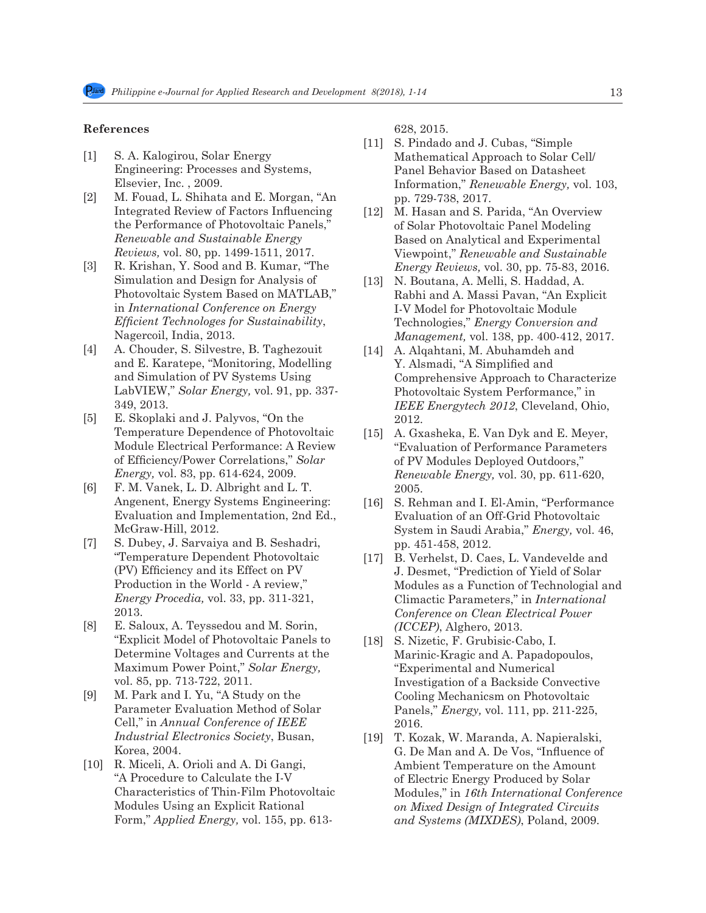## **References**

- [1] S. A. Kalogirou, Solar Energy Engineering: Processes and Systems, Elsevier, Inc. , 2009.
- [2] M. Fouad, L. Shihata and E. Morgan, "An Integrated Review of Factors Influencing the Performance of Photovoltaic Panels," *Renewable and Sustainable Energy Reviews,* vol. 80, pp. 1499-1511, 2017.
- [3] R. Krishan, Y. Sood and B. Kumar, "The Simulation and Design for Analysis of Photovoltaic System Based on MATLAB," in *International Conference on Energy Efficient Technologes for Sustainability*, Nagercoil, India, 2013.
- [4] A. Chouder, S. Silvestre, B. Taghezouit and E. Karatepe, "Monitoring, Modelling and Simulation of PV Systems Using LabVIEW," *Solar Energy,* vol. 91, pp. 337- 349, 2013.
- [5] E. Skoplaki and J. Palyvos, "On the Temperature Dependence of Photovoltaic Module Electrical Performance: A Review of Efficiency/Power Correlations," *Solar Energy,* vol. 83, pp. 614-624, 2009.
- [6] F. M. Vanek, L. D. Albright and L. T. Angenent, Energy Systems Engineering: Evaluation and Implementation, 2nd Ed., McGraw-Hill, 2012.
- [7] S. Dubey, J. Sarvaiya and B. Seshadri, "Temperature Dependent Photovoltaic (PV) Efficiency and its Effect on PV Production in the World - A review," *Energy Procedia,* vol. 33, pp. 311-321, 2013.
- [8] E. Saloux, A. Teyssedou and M. Sorin, "Explicit Model of Photovoltaic Panels to Determine Voltages and Currents at the Maximum Power Point," *Solar Energy,*  vol. 85, pp. 713-722, 2011.
- [9] M. Park and I. Yu, "A Study on the Parameter Evaluation Method of Solar Cell," in *Annual Conference of IEEE Industrial Electronics Society*, Busan, Korea, 2004.
- [10] R. Miceli, A. Orioli and A. Di Gangi, "A Procedure to Calculate the I-V Characteristics of Thin-Film Photovoltaic Modules Using an Explicit Rational Form," *Applied Energy,* vol. 155, pp. 613-

628, 2015.

- [11] S. Pindado and J. Cubas, "Simple Mathematical Approach to Solar Cell/ Panel Behavior Based on Datasheet Information," *Renewable Energy,* vol. 103, pp. 729-738, 2017.
- [12] M. Hasan and S. Parida, "An Overview" of Solar Photovoltaic Panel Modeling Based on Analytical and Experimental Viewpoint," *Renewable and Sustainable Energy Reviews,* vol. 30, pp. 75-83, 2016.
- [13] N. Boutana, A. Melli, S. Haddad, A. Rabhi and A. Massi Pavan, "An Explicit I-V Model for Photovoltaic Module Technologies," *Energy Conversion and Management,* vol. 138, pp. 400-412, 2017.
- [14] A. Alqahtani, M. Abuhamdeh and Y. Alsmadi, "A Simplified and Comprehensive Approach to Characterize Photovoltaic System Performance," in *IEEE Energytech 2012*, Cleveland, Ohio, 2012.
- [15] A. Gxasheka, E. Van Dyk and E. Meyer, "Evaluation of Performance Parameters of PV Modules Deployed Outdoors," *Renewable Energy,* vol. 30, pp. 611-620, 2005.
- [16] S. Rehman and I. El-Amin, "Performance Evaluation of an Off-Grid Photovoltaic System in Saudi Arabia," *Energy,* vol. 46, pp. 451-458, 2012.
- [17] B. Verhelst, D. Caes, L. Vandevelde and J. Desmet, "Prediction of Yield of Solar Modules as a Function of Technologial and Climactic Parameters," in *International Conference on Clean Electrical Power (ICCEP)*, Alghero, 2013.
- [18] S. Nizetic, F. Grubisic-Cabo, I. Marinic-Kragic and A. Papadopoulos, "Experimental and Numerical Investigation of a Backside Convective Cooling Mechanicsm on Photovoltaic Panels," *Energy,* vol. 111, pp. 211-225, 2016.
- [19] T. Kozak, W. Maranda, A. Napieralski, G. De Man and A. De Vos, "Influence of Ambient Temperature on the Amount of Electric Energy Produced by Solar Modules," in *16th International Conference on Mixed Design of Integrated Circuits and Systems (MIXDES)*, Poland, 2009.